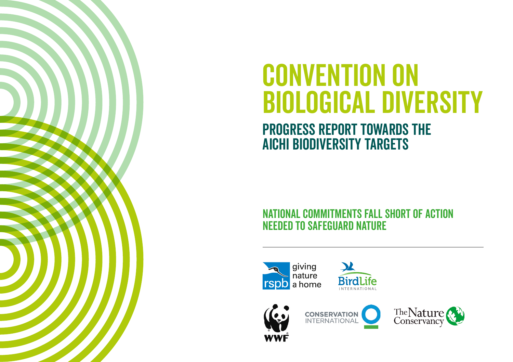

# CONVENTION ON biological diversity

# Progress Report towards The Aichi Biodiversity Targets

# National commitments fall short of action needed to safeguard nature









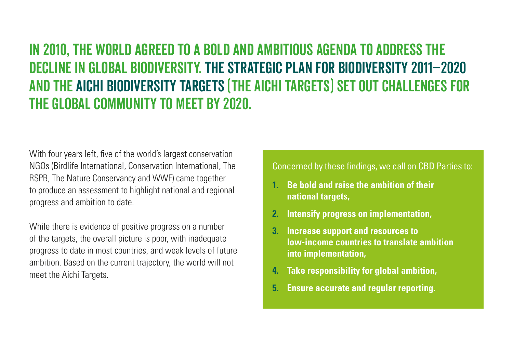# In 2010, the world agreed to a bold and ambitious agenda to address the decline in global biodiversity. The Strategic Plan for Biodiversity 2011–2020 and the Aichi Biodiversity Targets (The Aichi Targets) set out challenges for the global community to meet by 2020.

With four years left, five of the world's largest conservation NGOs (Birdlife International, Conservation International, The RSPB, The Nature Conservancy and WWF) came together to produce an assessment to highlight national and regional progress and ambition to date.

While there is evidence of positive progress on a number of the targets, the overall picture is poor, with inadequate progress to date in most countries, and weak levels of future ambition. Based on the current trajectory, the world will not meet the Aichi Targets.

Concerned by these findings, we call on CBD Parties to:

- **1. Be bold and raise the ambition of their national targets,**
- **2. Intensify progress on implementation,**
- **3. Increase support and resources to low-income countries to translate ambition into implementation,**
- **4. Take responsibility for global ambition,**
- **5. Ensure accurate and regular reporting.**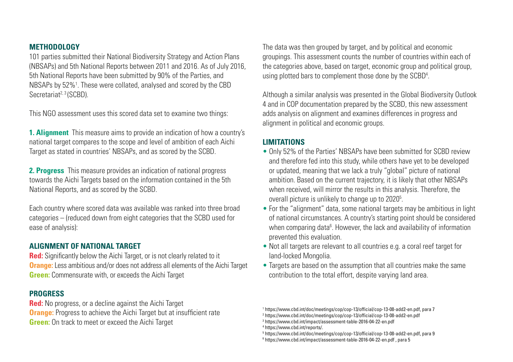## **METHODOLOGY**

101 parties submitted their National Biodiversity Strategy and Action Plans (NBSAPs) and 5th National Reports between 2011 and 2016. As of July 2016, 5th National Reports have been submitted by 90% of the Parties, and NBSAPs by 52%<sup>1</sup>. These were collated, analysed and scored by the CBD Secretariat<sup>2, 3</sup> (SCBD).

This NGO assessment uses this scored data set to examine two things:

**1. Alignment** This measure aims to provide an indication of how a country's national target compares to the scope and level of ambition of each Aichi Target as stated in countries' NBSAPs, and as scored by the SCBD.

**2. Progress** This measure provides an indication of national progress towards the Aichi Targets based on the information contained in the 5th National Reports, and as scored by the SCBD.

Each country where scored data was available was ranked into three broad categories – (reduced down from eight categories that the SCBD used for ease of analysis):

# **ALIGNMENT OF NATIONAL TARGET**

**Red:** Significantly below the Aichi Target, or is not clearly related to it **Orange:** Less ambitious and/or does not address all elements of the Aichi Target **Green:** Commensurate with, or exceeds the Aichi Target

#### **PROGRESS**

**Red:** No progress, or a decline against the Aichi Target **Orange:** Progress to achieve the Aichi Target but at insufficient rate **Green:** On track to meet or exceed the Aichi Target

The data was then grouped by target, and by political and economic groupings. This assessment counts the number of countries within each of the categories above, based on target, economic group and political group, using plotted bars to complement those done by the SCBD4 .

Although a similar analysis was presented in the Global Biodiversity Outlook 4 and in COP documentation prepared by the SCBD, this new assessment adds analysis on alignment and examines differences in progress and alignment in political and economic groups.

# **LIMITATIONS**

- Only 52% of the Parties' NBSAPs have been submitted for SCBD review and therefore fed into this study, while others have yet to be developed or updated, meaning that we lack a truly "global" picture of national ambition. Based on the current trajectory, it is likely that other NBSAPs when received, will mirror the results in this analysis. Therefore, the overall picture is unlikely to change up to 2020<sup>5</sup>.
- For the "alignment" data, some national targets may be ambitious in light of national circumstances. A country's starting point should be considered when comparing data<sup>6</sup>. However, the lack and availability of information prevented this evaluation.
- Not all targets are relevant to all countries e.g. a coral reef target for land-locked Mongolia.
- Targets are based on the assumption that all countries make the same contribution to the total effort, despite varying land area.

```
3
https://www.cbd.int/impact/assessment-table-2016-04-22-en.pdf
```

```
4
https://www.cbd.int/reports/.
```
<sup>1</sup> https://www.cbd.int/doc/meetings/cop/cop-13/official/cop-13-08-add2-en.pdf, para 7

<sup>2</sup> https://www.cbd.int/doc/meetings/cop/cop-13/official/cop-13-08-add2-en.pdf

<sup>5</sup> https://www.cbd.int/doc/meetings/cop/cop-13/official/cop-13-08-add2-en.pdf, para 9

<sup>6</sup> https://www.cbd.int/impact/assessment-table-2016-04-22-en.pdf , para 5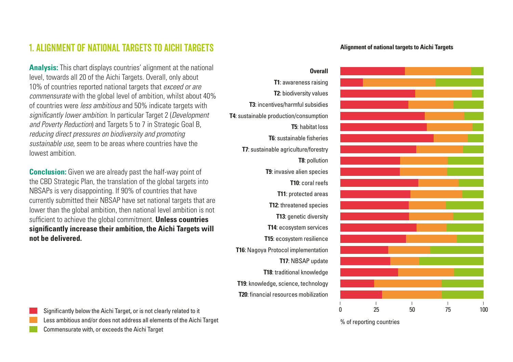# 1. Alignment of national targets to Aichi Targets

**Analysis:** This chart displays countries' alignment at the national level, towards all 20 of the Aichi Targets. Overall, only about 10% of countries reported national targets that *exceed or are commensurate* with the global level of ambition, whilst about 40% of countries were *less ambitious* and 50% indicate targets with *significantly lower ambition*. In particular Target 2 (*Development and Poverty Reduction*) and Targets 5 to 7 in Strategic Goal B, *reducing direct pressures on biodiversity and promoting sustainable use*, seem to be areas where countries have the lowest ambition.

**Conclusion:** Given we are already past the half-way point of the CBD Strategic Plan, the translation of the global targets into NBSAPs is very disappointing. If 90% of countries that have currently submitted their NBSAP have set national targets that are lower than the global ambition, then national level ambition is not sufficient to achieve the global commitment. **Unless countries significantly increase their ambition, the Aichi Targets will not be delivered.**

# **T1**: awareness raising **T2**: biodiversity values **T3**: incentives/harmful subsidies **T4**: sustainable production/consumption **T5**: habitat loss **T6**: sustainable fisheries **T7**: sustainable agriculture/forestry **T8**: pollution **T9**: invasive alien species **T10**: coral reefs **T11**: protected areas **T12**: threatened species **T13**: genetic diversity **T14**: ecosystem services **T15**: ecosystem resilience **T16**: Nagoya Protocol implementation **T17**: NBSAP update

**T18**: traditional knowledge **T19**: knowledge, science, technology **T20**: financial resources mobilization

**Overall**



Significantly below the Aichi Target, or is not clearly related to it Less ambitious and/or does not address all elements of the Aichi Target Commensurate with, or exceeds the Aichi Target

% of reporting countries

#### **Alignment of national targets to Aichi Targets**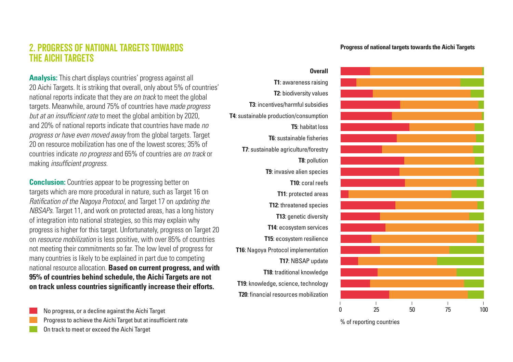# 2. Progress of national targets towards the Aichi Targets

**Analysis:** This chart displays countries' progress against all 20 Aichi Targets. It is striking that overall, only about 5% of countries' national reports indicate that they are *on track* to meet the global targets. Meanwhile, around 75% of countries have *made progress but at an insufficient rate* to meet the global ambition by 2020, and 20% of national reports indicate that countries have made *no progress or have even moved away* from the global targets. Target 20 on resource mobilization has one of the lowest scores; 35% of countries indicate *no progress* and 65% of countries are *on track* or making *insufficient progress*.

**Conclusion:** Countries appear to be progressing better on targets which are more procedural in nature, such as Target 16 on *Ratification of the Nagoya Protocol*, and Target 17 on *updating the NBSAPs*. Target 11, and work on protected areas, has a long history of integration into national strategies, so this may explain why progress is higher for this target. Unfortunately, progress on Target 20 on *resource mobilization* is less positive, with over 85% of countries not meeting their commitments so far. The low level of progress for many countries is likely to be explained in part due to competing national resource allocation. **Based on current progress, and with 95% of countries behind schedule, the Aichi Targets are not on track unless countries significantly increase their efforts.**

No progress, or a decline against the Aichi Target Progress to achieve the Aichi Target but at insufficient rate On track to meet or exceed the Aichi Target

**T1**: awareness raising **T2**: biodiversity values **T3**: incentives/harmful subsidies **T4**: sustainable production/consumption **T5**: habitat loss **T6**: sustainable fisheries **T7**: sustainable agriculture/forestry **T8**: pollution **T9**: invasive alien species **T10**: coral reefs **T11**: protected areas **T12**: threatened species **T13**: genetic diversity **T14**: ecosystem services **T15**: ecosystem resilience **T16**: Nagoya Protocol implementation **T17**: NBSAP update **T18**: traditional knowledge **T19**: knowledge, science, technology **T20**: financial resources mobilization

**Overall**

#### **Progress of national targets towards the Aichi Targets**



% of reporting countries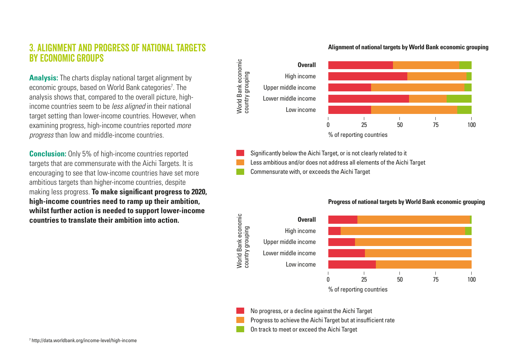# 3. Alignment and progress of national targets by economic groups

**Analysis:** The charts display national target alignment by economic groups, based on World Bank categories<sup>7</sup>. The analysis shows that, compared to the overall picture, highincome countries seem to be *less aligned* in their national target setting than lower-income countries. However, when examining progress, high-income countries reported *more progress* than low and middle-income countries.

**Conclusion:** Only 5% of high-income countries reported targets that are commensurate with the Aichi Targets. It is encouraging to see that low-income countries have set more ambitious targets than higher-income countries, despite making less progress. **To make significant progress to 2020, high-income countries need to ramp up their ambition, whilst further action is needed to support lower-income countries to translate their ambition into action.**



Significantly below the Aichi Target, or is not clearly related to it

Less ambitious and/or does not address all elements of the Aichi Target

Commensurate with, or exceeds the Aichi Target

World Bank economic



#### **Progress of national targets by World Bank economic grouping**

No progress, or a decline against the Aichi Target Progress to achieve the Aichi Target but at insufficient rate On track to meet or exceed the Aichi Target

#### **Alignment of national targets by World Bank economic grouping**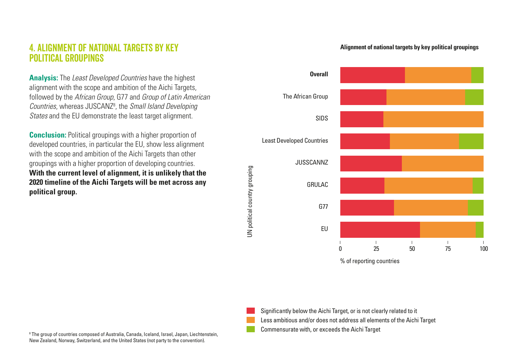# 4. Alignment of national targets by key political groupings

**Analysis:** The *Least Developed Countries* have the highest alignment with the scope and ambition of the Aichi Targets, followed by the *African Group*, G77 and *Group of Latin American Countries*, whereas JUSCANZ8 , the *Small Island Developing States* and the EU demonstrate the least target alignment.

**Conclusion:** Political groupings with a higher proportion of developed countries, in particular the EU, show less alignment with the scope and ambition of the Aichi Targets than other groupings with a higher proportion of developing countries. **With the current level of alignment, it is unlikely that the 2020 timeline of the Aichi Targets will be met across any political group.** 

JN political country grouping UN political country grouping

#### **Alignment of national targets by key political groupings**



% of reporting countries



Significantly below the Aichi Target, or is not clearly related to it Less ambitious and/or does not address all elements of the Aichi Target Commensurate with, or exceeds the Aichi Target

8 The group of countries composed of Australia, Canada, Iceland, Israel, Japan, Liechtenstein, New Zealand, Norway, Switzerland, and the United States (not party to the convention).